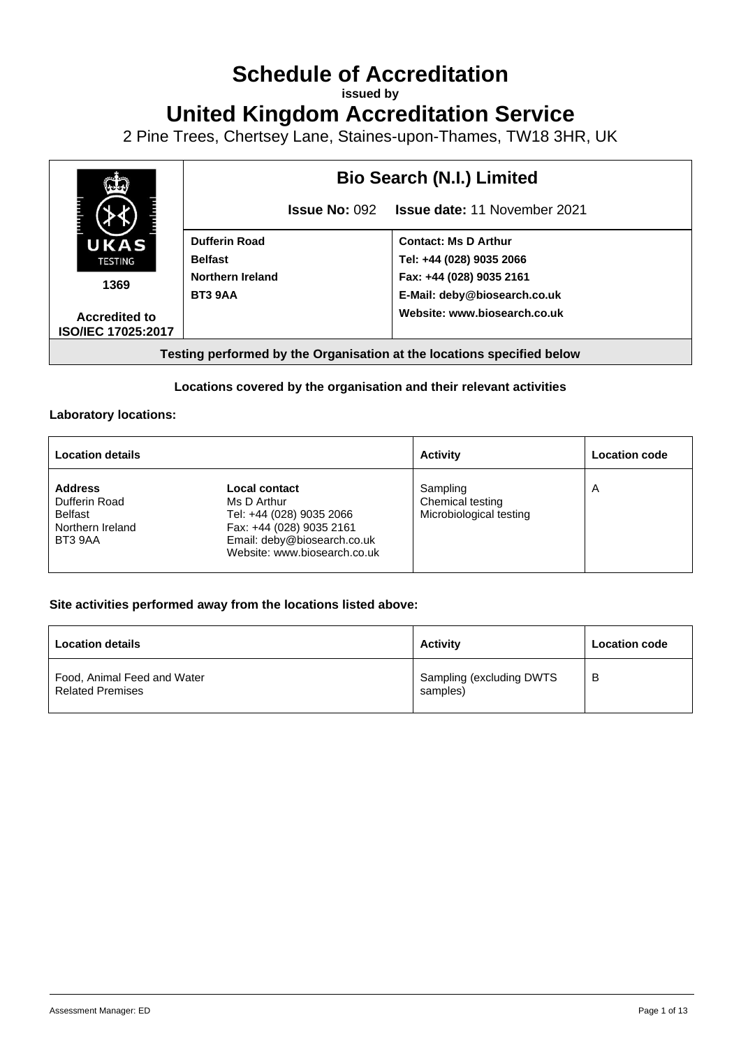# **Schedule of Accreditation**

**issued by**

**United Kingdom Accreditation Service**

2 Pine Trees, Chertsey Lane, Staines-upon-Thames, TW18 3HR, UK



## **Locations covered by the organisation and their relevant activities**

#### **Laboratory locations:**

| <b>Location details</b>                                                   |                                                                                                                                                            | <b>Activity</b>                                         | <b>Location code</b> |
|---------------------------------------------------------------------------|------------------------------------------------------------------------------------------------------------------------------------------------------------|---------------------------------------------------------|----------------------|
| <b>Address</b><br>Dufferin Road<br>Belfast<br>Northern Ireland<br>BT3 9AA | <b>Local contact</b><br>Ms D Arthur<br>Tel: +44 (028) 9035 2066<br>Fax: +44 (028) 9035 2161<br>Email: deby@biosearch.co.uk<br>Website: www.biosearch.co.uk | Sampling<br>Chemical testing<br>Microbiological testing | A                    |

### **Site activities performed away from the locations listed above:**

| <b>Location details</b>                                | <b>Activity</b>                      | <b>Location code</b> |
|--------------------------------------------------------|--------------------------------------|----------------------|
| Food, Animal Feed and Water<br><b>Related Premises</b> | Sampling (excluding DWTS<br>samples) | B                    |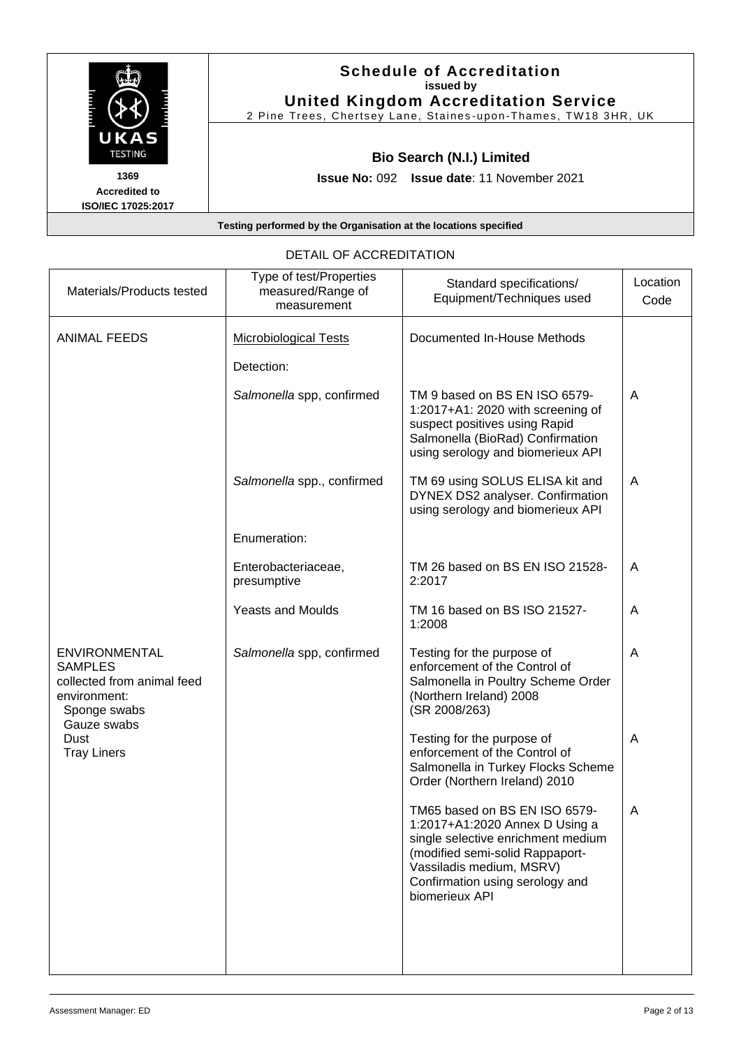| UKAS<br><b>TESTING</b>                             | <b>Schedule of Accreditation</b><br>issued by<br><b>United Kingdom Accreditation Service</b><br>2 Pine Trees, Chertsey Lane, Staines-upon-Thames, TW18 3HR, UK |
|----------------------------------------------------|----------------------------------------------------------------------------------------------------------------------------------------------------------------|
|                                                    | <b>Bio Search (N.I.) Limited</b>                                                                                                                               |
| 1369<br><b>Accredited to</b><br>ISO/IEC 17025:2017 | <b>Issue No: 092 Issue date: 11 November 2021</b>                                                                                                              |
|                                                    | Testing performed by the Organisation at the locations specified                                                                                               |

| Materials/Products tested                                                                            | Type of test/Properties<br>measured/Range of<br>measurement | Standard specifications/<br>Equipment/Techniques used                                                                                                                                                                     | Location<br>Code |
|------------------------------------------------------------------------------------------------------|-------------------------------------------------------------|---------------------------------------------------------------------------------------------------------------------------------------------------------------------------------------------------------------------------|------------------|
| <b>ANIMAL FEEDS</b>                                                                                  | <b>Microbiological Tests</b>                                | Documented In-House Methods                                                                                                                                                                                               |                  |
|                                                                                                      | Detection:<br>Salmonella spp, confirmed                     | TM 9 based on BS EN ISO 6579-<br>1:2017+A1: 2020 with screening of<br>suspect positives using Rapid<br>Salmonella (BioRad) Confirmation<br>using serology and biomerieux API                                              | A                |
|                                                                                                      | Salmonella spp., confirmed                                  | TM 69 using SOLUS ELISA kit and<br>DYNEX DS2 analyser. Confirmation<br>using serology and biomerieux API                                                                                                                  | A                |
|                                                                                                      | Enumeration:                                                |                                                                                                                                                                                                                           |                  |
|                                                                                                      | Enterobacteriaceae,<br>presumptive                          | TM 26 based on BS EN ISO 21528-<br>2:2017                                                                                                                                                                                 | A                |
|                                                                                                      | <b>Yeasts and Moulds</b>                                    | TM 16 based on BS ISO 21527-<br>1:2008                                                                                                                                                                                    | A                |
| <b>ENVIRONMENTAL</b><br><b>SAMPLES</b><br>collected from animal feed<br>environment:<br>Sponge swabs | Salmonella spp, confirmed                                   | Testing for the purpose of<br>enforcement of the Control of<br>Salmonella in Poultry Scheme Order<br>(Northern Ireland) 2008<br>(SR 2008/263)                                                                             | A                |
| Gauze swabs<br>Dust<br><b>Tray Liners</b>                                                            |                                                             | Testing for the purpose of<br>enforcement of the Control of<br>Salmonella in Turkey Flocks Scheme<br>Order (Northern Ireland) 2010                                                                                        | A                |
|                                                                                                      |                                                             | TM65 based on BS EN ISO 6579-<br>1:2017+A1:2020 Annex D Using a<br>single selective enrichment medium<br>(modified semi-solid Rappaport-<br>Vassiladis medium, MSRV)<br>Confirmation using serology and<br>biomerieux API | A                |
|                                                                                                      |                                                             |                                                                                                                                                                                                                           |                  |

# DETAIL OF ACCREDITATION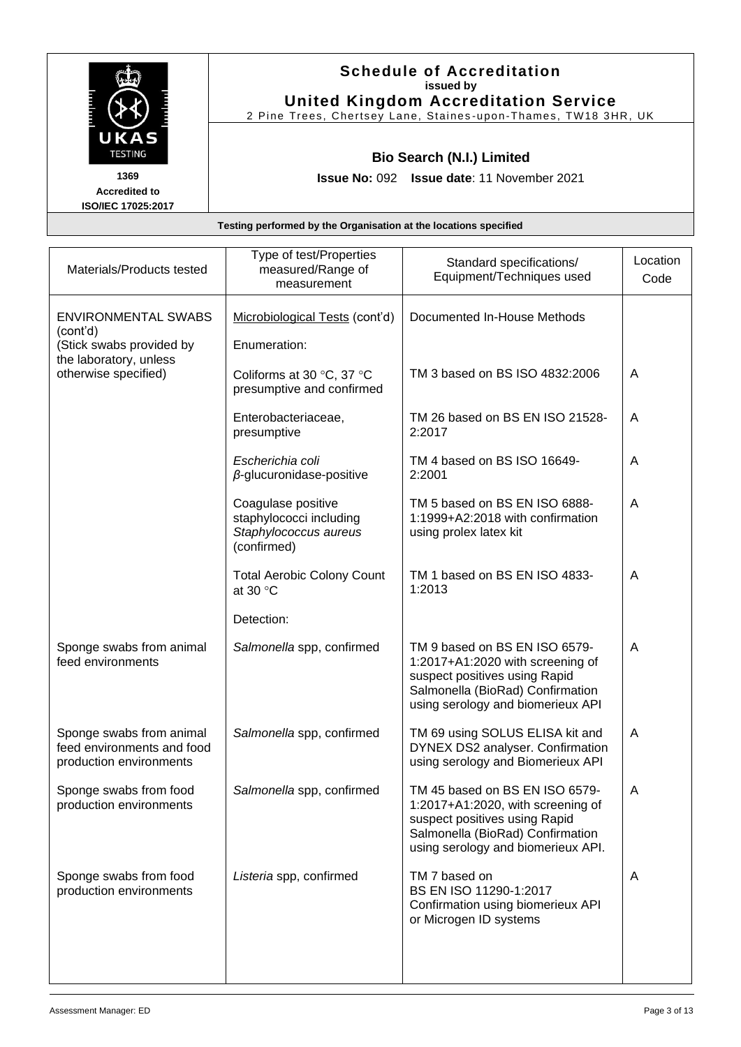|                                                    | <b>Schedule of Accreditation</b><br>issued by<br><b>United Kingdom Accreditation Service</b><br>2 Pine Trees, Chertsey Lane, Staines-upon-Thames, TW18 3HR, UK |
|----------------------------------------------------|----------------------------------------------------------------------------------------------------------------------------------------------------------------|
| UKAS<br><b>TESTING</b>                             | <b>Bio Search (N.I.) Limited</b>                                                                                                                               |
| 1369<br><b>Accredited to</b><br>ISO/IEC 17025:2017 | <b>Issue No: 092 Issue date: 11 November 2021</b>                                                                                                              |
|                                                    | Testing performed by the Organisation at the locations specified                                                                                               |

|                                                                                   | Type of test/Properties                                                               | Standard specifications/                                                                                                                                                       | Location |
|-----------------------------------------------------------------------------------|---------------------------------------------------------------------------------------|--------------------------------------------------------------------------------------------------------------------------------------------------------------------------------|----------|
| Materials/Products tested                                                         | measured/Range of<br>measurement                                                      | Equipment/Techniques used                                                                                                                                                      | Code     |
| <b>ENVIRONMENTAL SWABS</b><br>(cont'd)                                            | Microbiological Tests (cont'd)                                                        | Documented In-House Methods                                                                                                                                                    |          |
| (Stick swabs provided by<br>the laboratory, unless                                | Enumeration:                                                                          |                                                                                                                                                                                |          |
| otherwise specified)                                                              | Coliforms at 30 °C, 37 °C<br>presumptive and confirmed                                | TM 3 based on BS ISO 4832:2006                                                                                                                                                 | A        |
|                                                                                   | Enterobacteriaceae,<br>presumptive                                                    | TM 26 based on BS EN ISO 21528-<br>2:2017                                                                                                                                      | A        |
|                                                                                   | Escherichia coli<br>$\beta$ -glucuronidase-positive                                   | TM 4 based on BS ISO 16649-<br>2:2001                                                                                                                                          | A        |
|                                                                                   | Coagulase positive<br>staphylococci including<br>Staphylococcus aureus<br>(confirmed) | TM 5 based on BS EN ISO 6888-<br>1:1999+A2:2018 with confirmation<br>using prolex latex kit                                                                                    | A        |
|                                                                                   | <b>Total Aerobic Colony Count</b><br>at 30 $\degree$ C                                | TM 1 based on BS EN ISO 4833-<br>1:2013                                                                                                                                        | A        |
|                                                                                   | Detection:                                                                            |                                                                                                                                                                                |          |
| Sponge swabs from animal<br>feed environments                                     | Salmonella spp, confirmed                                                             | TM 9 based on BS EN ISO 6579-<br>1:2017+A1:2020 with screening of<br>suspect positives using Rapid<br>Salmonella (BioRad) Confirmation<br>using serology and biomerieux API    | A        |
| Sponge swabs from animal<br>feed environments and food<br>production environments | Salmonella spp, confirmed                                                             | TM 69 using SOLUS ELISA kit and<br>DYNEX DS2 analyser. Confirmation<br>using serology and Biomerieux API                                                                       | A        |
| Sponge swabs from food<br>production environments                                 | Salmonella spp, confirmed                                                             | TM 45 based on BS EN ISO 6579-<br>1:2017+A1:2020, with screening of<br>suspect positives using Rapid<br>Salmonella (BioRad) Confirmation<br>using serology and biomerieux API. | A        |
| Sponge swabs from food<br>production environments                                 | Listeria spp, confirmed                                                               | TM 7 based on<br>BS EN ISO 11290-1:2017<br>Confirmation using biomerieux API<br>or Microgen ID systems                                                                         | A        |
|                                                                                   |                                                                                       |                                                                                                                                                                                |          |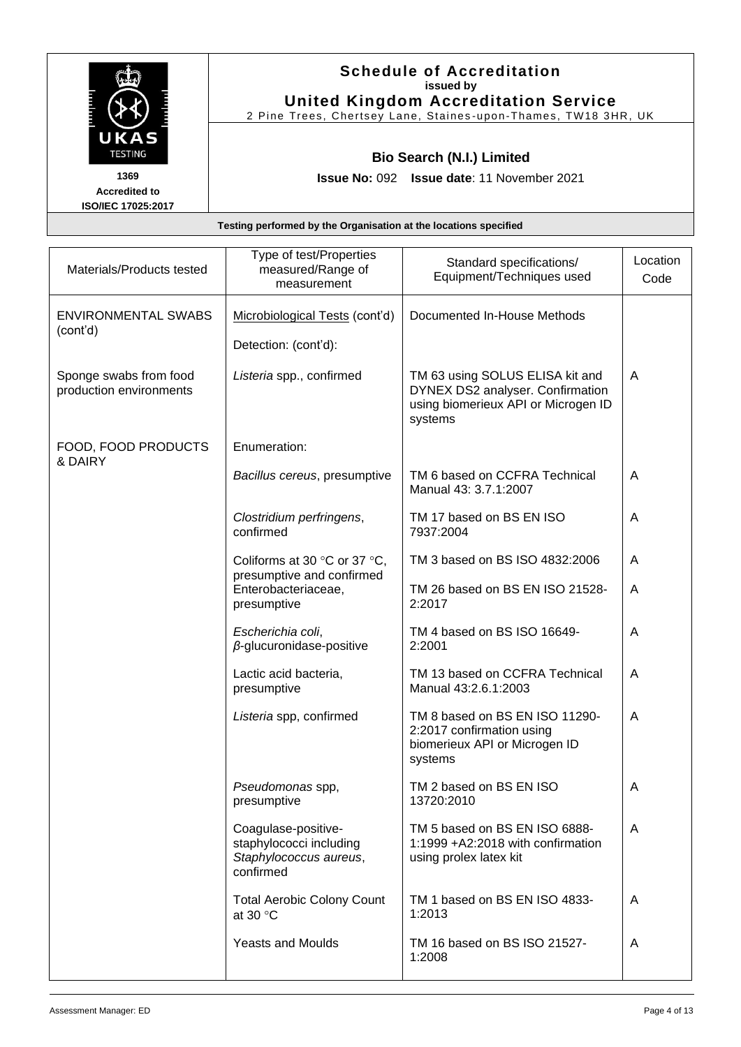|                           | <b>Schedule of Accreditation</b><br>issued by                  |
|---------------------------|----------------------------------------------------------------|
|                           | <b>United Kingdom Accreditation Service</b>                    |
|                           | 2 Pine Trees, Chertsey Lane, Staines-upon-Thames, TW18 3HR, UK |
| UKAS<br><b>TESTING</b>    | <b>Bio Search (N.I.) Limited</b>                               |
| 1369                      | <b>Issue No: 092 Issue date: 11 November 2021</b>              |
| <b>Accredited to</b>      |                                                                |
| <b>ISO/IEC 17025:2017</b> |                                                                |

| Materials/Products tested                         | Type of test/Properties<br>measured/Range of<br>measurement                           | Standard specifications/<br>Equipment/Techniques used                                                                 | Location<br>Code |
|---------------------------------------------------|---------------------------------------------------------------------------------------|-----------------------------------------------------------------------------------------------------------------------|------------------|
| <b>ENVIRONMENTAL SWABS</b><br>(cont'd)            | Microbiological Tests (cont'd)                                                        | Documented In-House Methods                                                                                           |                  |
|                                                   | Detection: (cont'd):                                                                  |                                                                                                                       |                  |
| Sponge swabs from food<br>production environments | Listeria spp., confirmed                                                              | TM 63 using SOLUS ELISA kit and<br>DYNEX DS2 analyser. Confirmation<br>using biomerieux API or Microgen ID<br>systems | A                |
| FOOD, FOOD PRODUCTS<br>& DAIRY                    | Enumeration:                                                                          |                                                                                                                       |                  |
|                                                   | Bacillus cereus, presumptive                                                          | TM 6 based on CCFRA Technical<br>Manual 43: 3.7.1:2007                                                                | A                |
|                                                   | Clostridium perfringens,<br>confirmed                                                 | TM 17 based on BS EN ISO<br>7937:2004                                                                                 | A                |
|                                                   | Coliforms at 30 $\degree$ C or 37 $\degree$ C,<br>presumptive and confirmed           | TM 3 based on BS ISO 4832:2006                                                                                        | A                |
|                                                   | Enterobacteriaceae,<br>presumptive                                                    | TM 26 based on BS EN ISO 21528-<br>2:2017                                                                             | A                |
|                                                   | Escherichia coli,<br>$\beta$ -glucuronidase-positive                                  | TM 4 based on BS ISO 16649-<br>2:2001                                                                                 | A                |
|                                                   | Lactic acid bacteria,<br>presumptive                                                  | TM 13 based on CCFRA Technical<br>Manual 43:2.6.1:2003                                                                | A                |
|                                                   | Listeria spp, confirmed                                                               | TM 8 based on BS EN ISO 11290-<br>2:2017 confirmation using<br>biomerieux API or Microgen ID<br>systems               | A                |
|                                                   | Pseudomonas spp,<br>presumptive                                                       | TM 2 based on BS EN ISO<br>13720:2010                                                                                 | A                |
|                                                   | Coagulase-positive-<br>staphylococci including<br>Staphylococcus aureus,<br>confirmed | TM 5 based on BS EN ISO 6888-<br>1:1999 +A2:2018 with confirmation<br>using prolex latex kit                          | A                |
|                                                   | <b>Total Aerobic Colony Count</b><br>at 30 $\degree$ C                                | TM 1 based on BS EN ISO 4833-<br>1:2013                                                                               | A                |
|                                                   | <b>Yeasts and Moulds</b>                                                              | TM 16 based on BS ISO 21527-<br>1:2008                                                                                | A                |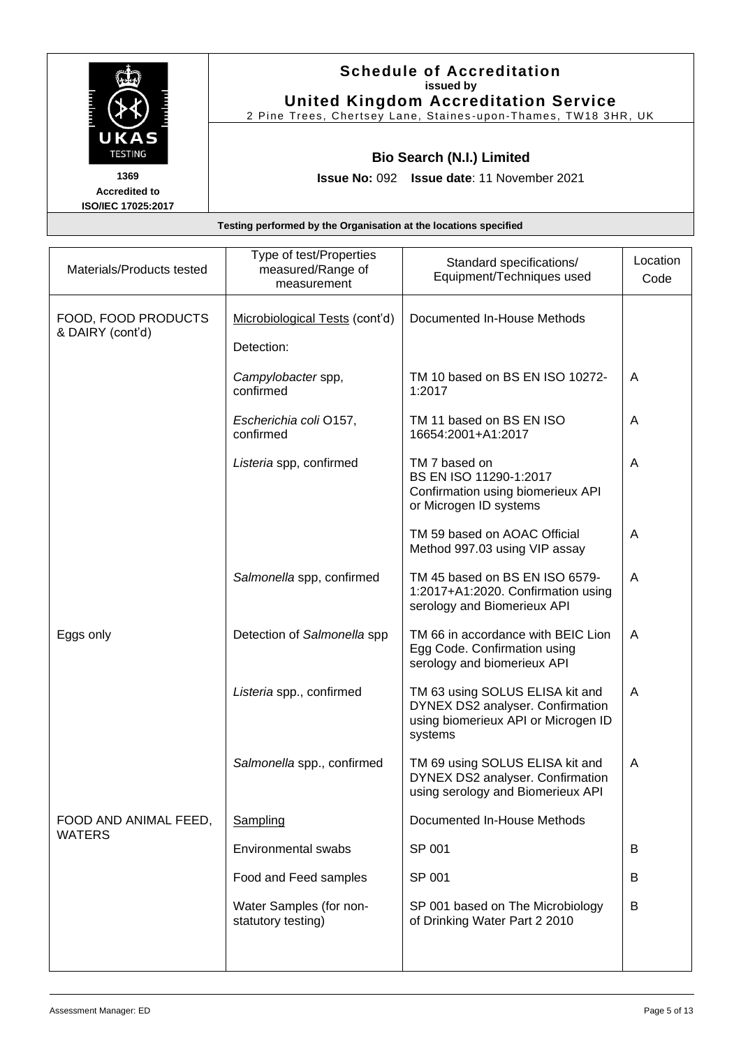| UKAS<br><b>TESTING</b>                             | <b>Schedule of Accreditation</b><br>issued by<br><b>United Kingdom Accreditation Service</b><br>2 Pine Trees, Chertsey Lane, Staines-upon-Thames, TW18 3HR, UK |
|----------------------------------------------------|----------------------------------------------------------------------------------------------------------------------------------------------------------------|
|                                                    | <b>Bio Search (N.I.) Limited</b>                                                                                                                               |
| 1369<br><b>Accredited to</b><br>ISO/IEC 17025:2017 | <b>Issue No: 092 Issue date: 11 November 2021</b>                                                                                                              |
|                                                    | Testing performed by the Organisation at the locations specified                                                                                               |

| Materials/Products tested               | Type of test/Properties<br>measured/Range of<br>measurement | Standard specifications/<br>Equipment/Techniques used                                                                 | Location<br>Code |
|-----------------------------------------|-------------------------------------------------------------|-----------------------------------------------------------------------------------------------------------------------|------------------|
| FOOD, FOOD PRODUCTS<br>& DAIRY (cont'd) | Microbiological Tests (cont'd)                              | Documented In-House Methods                                                                                           |                  |
|                                         | Detection:                                                  |                                                                                                                       |                  |
|                                         | Campylobacter spp,<br>confirmed                             | TM 10 based on BS EN ISO 10272-<br>1:2017                                                                             | A                |
|                                         | Escherichia coli O157,<br>confirmed                         | TM 11 based on BS EN ISO<br>16654:2001+A1:2017                                                                        | A                |
|                                         | Listeria spp, confirmed                                     | TM 7 based on<br>BS EN ISO 11290-1:2017<br>Confirmation using biomerieux API<br>or Microgen ID systems                | A                |
|                                         |                                                             | TM 59 based on AOAC Official<br>Method 997.03 using VIP assay                                                         | A                |
|                                         | Salmonella spp, confirmed                                   | TM 45 based on BS EN ISO 6579-<br>1:2017+A1:2020. Confirmation using<br>serology and Biomerieux API                   | A                |
| Eggs only                               | Detection of Salmonella spp                                 | TM 66 in accordance with BEIC Lion<br>Egg Code. Confirmation using<br>serology and biomerieux API                     | A                |
|                                         | Listeria spp., confirmed                                    | TM 63 using SOLUS ELISA kit and<br>DYNEX DS2 analyser. Confirmation<br>using biomerieux API or Microgen ID<br>systems | A                |
|                                         | Salmonella spp., confirmed                                  | TM 69 using SOLUS ELISA kit and<br>DYNEX DS2 analyser. Confirmation<br>using serology and Biomerieux API              | Α                |
| FOOD AND ANIMAL FEED,                   | Sampling                                                    | Documented In-House Methods                                                                                           |                  |
| WATERS                                  | <b>Environmental swabs</b>                                  | SP 001                                                                                                                | В                |
|                                         | Food and Feed samples                                       | SP 001                                                                                                                | B                |
|                                         | Water Samples (for non-<br>statutory testing)               | SP 001 based on The Microbiology<br>of Drinking Water Part 2 2010                                                     | B                |
|                                         |                                                             |                                                                                                                       |                  |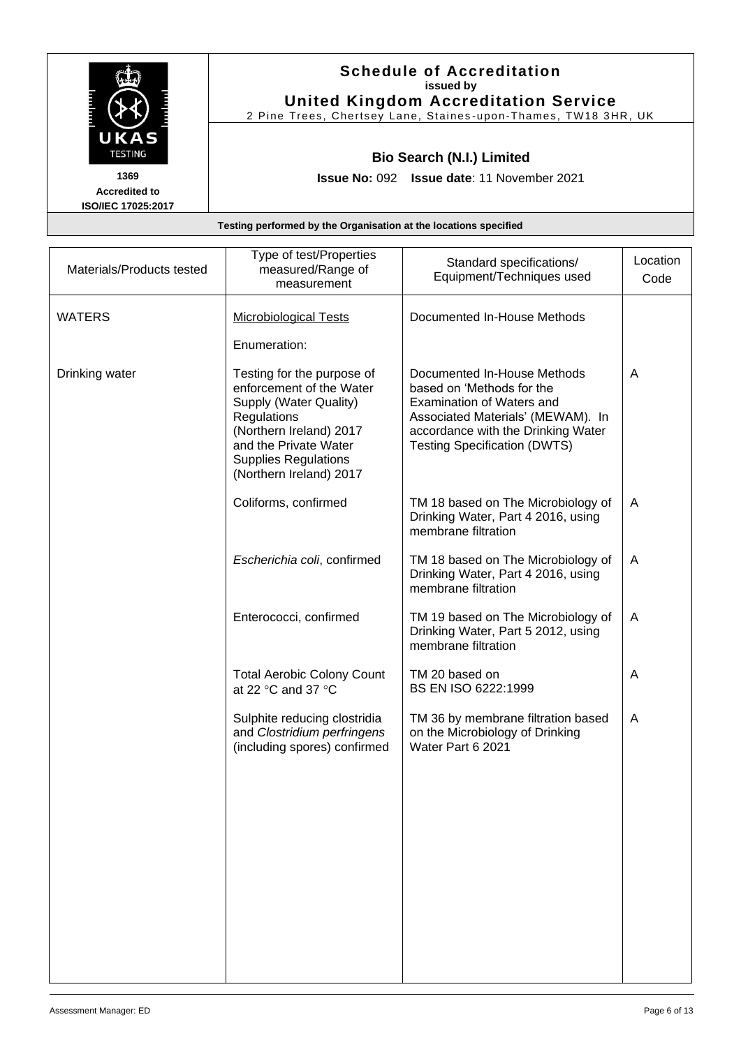| UKAS<br><b>TESTING</b>                                    | <b>Schedule of Accreditation</b><br>issued by<br><b>United Kingdom Accreditation Service</b><br>2 Pine Trees, Chertsey Lane, Staines-upon-Thames, TW18 3HR, UK |
|-----------------------------------------------------------|----------------------------------------------------------------------------------------------------------------------------------------------------------------|
|                                                           | <b>Bio Search (N.I.) Limited</b>                                                                                                                               |
| 1369<br><b>Accredited to</b><br><b>ISO/IEC 17025:2017</b> | <b>Issue No: 092 Issue date: 11 November 2021</b>                                                                                                              |
|                                                           | Testing performed by the Organisation at the locations specified                                                                                               |

| Materials/Products tested | Type of test/Properties<br>measured/Range of<br>measurement                                                                                                                                                   | Standard specifications/<br>Equipment/Techniques used                                                                                                                                            | Location<br>Code |
|---------------------------|---------------------------------------------------------------------------------------------------------------------------------------------------------------------------------------------------------------|--------------------------------------------------------------------------------------------------------------------------------------------------------------------------------------------------|------------------|
| <b>WATERS</b>             | <b>Microbiological Tests</b>                                                                                                                                                                                  | Documented In-House Methods                                                                                                                                                                      |                  |
|                           | Enumeration:                                                                                                                                                                                                  |                                                                                                                                                                                                  |                  |
| Drinking water            | Testing for the purpose of<br>enforcement of the Water<br>Supply (Water Quality)<br>Regulations<br>(Northern Ireland) 2017<br>and the Private Water<br><b>Supplies Regulations</b><br>(Northern Ireland) 2017 | Documented In-House Methods<br>based on 'Methods for the<br>Examination of Waters and<br>Associated Materials' (MEWAM). In<br>accordance with the Drinking Water<br>Testing Specification (DWTS) | A                |
|                           | Coliforms, confirmed                                                                                                                                                                                          | TM 18 based on The Microbiology of<br>Drinking Water, Part 4 2016, using<br>membrane filtration                                                                                                  | A                |
|                           | Escherichia coli, confirmed                                                                                                                                                                                   | TM 18 based on The Microbiology of<br>Drinking Water, Part 4 2016, using<br>membrane filtration                                                                                                  | $\mathsf{A}$     |
|                           | Enterococci, confirmed                                                                                                                                                                                        | TM 19 based on The Microbiology of<br>Drinking Water, Part 5 2012, using<br>membrane filtration                                                                                                  | A                |
|                           | <b>Total Aerobic Colony Count</b><br>at 22 $\degree$ C and 37 $\degree$ C                                                                                                                                     | TM 20 based on<br>BS EN ISO 6222:1999                                                                                                                                                            | A                |
|                           | Sulphite reducing clostridia<br>and Clostridium perfringens<br>(including spores) confirmed                                                                                                                   | TM 36 by membrane filtration based<br>on the Microbiology of Drinking<br>Water Part 6 2021                                                                                                       | A                |
|                           |                                                                                                                                                                                                               |                                                                                                                                                                                                  |                  |
|                           |                                                                                                                                                                                                               |                                                                                                                                                                                                  |                  |
|                           |                                                                                                                                                                                                               |                                                                                                                                                                                                  |                  |
|                           |                                                                                                                                                                                                               |                                                                                                                                                                                                  |                  |
|                           |                                                                                                                                                                                                               |                                                                                                                                                                                                  |                  |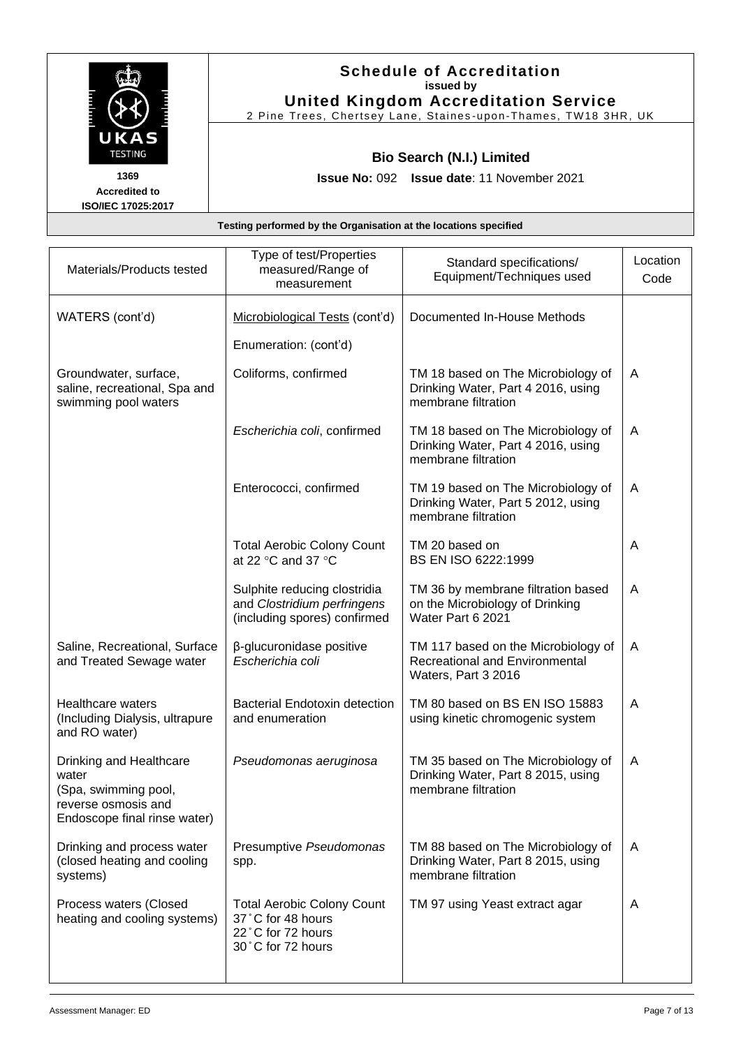| UKAS                                               | <b>Schedule of Accreditation</b><br>issued by<br><b>United Kingdom Accreditation Service</b><br>2 Pine Trees, Chertsey Lane, Staines-upon-Thames, TW18 3HR, UK |
|----------------------------------------------------|----------------------------------------------------------------------------------------------------------------------------------------------------------------|
| <b>TESTING</b>                                     | <b>Bio Search (N.I.) Limited</b>                                                                                                                               |
| 1369<br><b>Accredited to</b><br>ISO/IEC 17025:2017 | <b>Issue No: 092 Issue date: 11 November 2021</b>                                                                                                              |

| Materials/Products tested                                                                                       | Type of test/Properties<br>measured/Range of<br>measurement                                      | Standard specifications/<br>Equipment/Techniques used                                           | Location<br>Code |
|-----------------------------------------------------------------------------------------------------------------|--------------------------------------------------------------------------------------------------|-------------------------------------------------------------------------------------------------|------------------|
| WATERS (cont'd)                                                                                                 | Microbiological Tests (cont'd)                                                                   | Documented In-House Methods                                                                     |                  |
|                                                                                                                 | Enumeration: (cont'd)                                                                            |                                                                                                 |                  |
| Groundwater, surface,<br>saline, recreational, Spa and<br>swimming pool waters                                  | Coliforms, confirmed                                                                             | TM 18 based on The Microbiology of<br>Drinking Water, Part 4 2016, using<br>membrane filtration | A                |
|                                                                                                                 | Escherichia coli, confirmed                                                                      | TM 18 based on The Microbiology of<br>Drinking Water, Part 4 2016, using<br>membrane filtration | A                |
|                                                                                                                 | Enterococci, confirmed                                                                           | TM 19 based on The Microbiology of<br>Drinking Water, Part 5 2012, using<br>membrane filtration | A                |
|                                                                                                                 | <b>Total Aerobic Colony Count</b><br>at 22 $\degree$ C and 37 $\degree$ C                        | TM 20 based on<br>BS EN ISO 6222:1999                                                           | A                |
|                                                                                                                 | Sulphite reducing clostridia<br>and Clostridium perfringens<br>(including spores) confirmed      | TM 36 by membrane filtration based<br>on the Microbiology of Drinking<br>Water Part 6 2021      | A                |
| Saline, Recreational, Surface<br>and Treated Sewage water                                                       | β-glucuronidase positive<br>Escherichia coli                                                     | TM 117 based on the Microbiology of<br>Recreational and Environmental<br>Waters, Part 3 2016    | A                |
| <b>Healthcare waters</b><br>(Including Dialysis, ultrapure<br>and RO water)                                     | Bacterial Endotoxin detection<br>and enumeration                                                 | TM 80 based on BS EN ISO 15883<br>using kinetic chromogenic system                              | A                |
| Drinking and Healthcare<br>water<br>(Spa, swimming pool,<br>reverse osmosis and<br>Endoscope final rinse water) | Pseudomonas aeruginosa                                                                           | TM 35 based on The Microbiology of<br>Drinking Water, Part 8 2015, using<br>membrane filtration | A                |
| Drinking and process water<br>(closed heating and cooling<br>systems)                                           | Presumptive Pseudomonas<br>spp.                                                                  | TM 88 based on The Microbiology of<br>Drinking Water, Part 8 2015, using<br>membrane filtration | A                |
| Process waters (Closed<br>heating and cooling systems)                                                          | <b>Total Aerobic Colony Count</b><br>37°C for 48 hours<br>22°C for 72 hours<br>30°C for 72 hours | TM 97 using Yeast extract agar                                                                  | A                |

 $\overline{\phantom{a}}$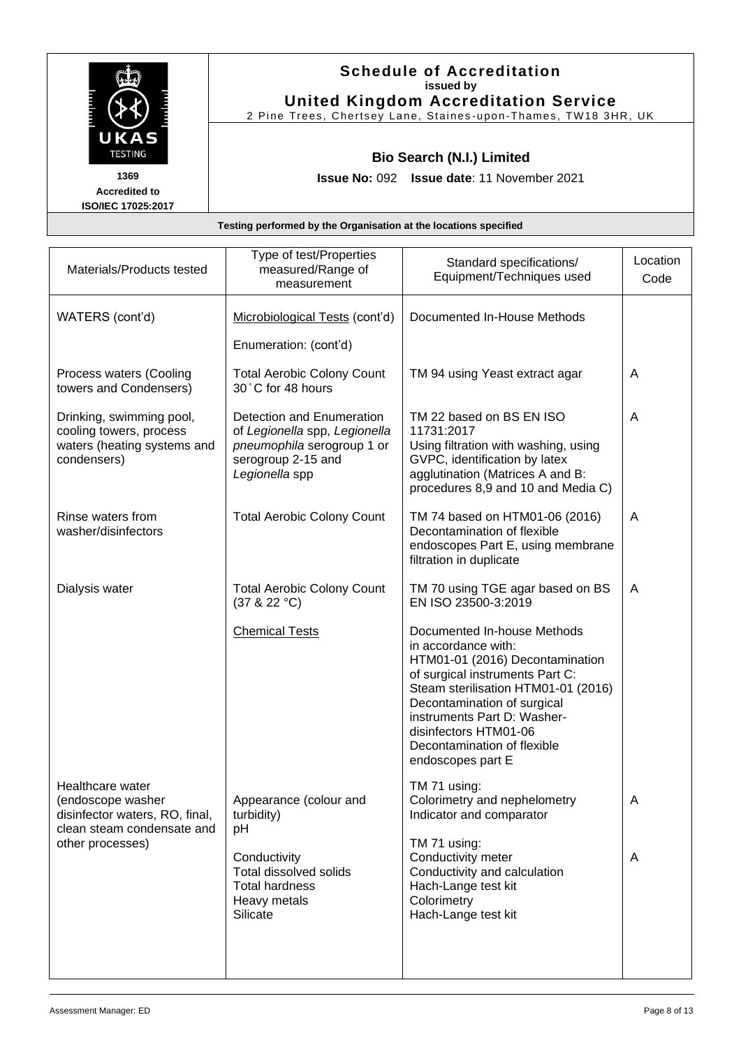|                                                           | <b>Schedule of Accreditation</b><br>issued by<br><b>United Kingdom Accreditation Service</b><br>2 Pine Trees, Chertsey Lane, Staines-upon-Thames, TW18 3HR, UK |
|-----------------------------------------------------------|----------------------------------------------------------------------------------------------------------------------------------------------------------------|
| UKAS<br><b>TESTING</b>                                    | <b>Bio Search (N.I.) Limited</b>                                                                                                                               |
| 1369<br><b>Accredited to</b><br><b>ISO/IEC 17025:2017</b> | <b>Issue No: 092 Issue date: 11 November 2021</b>                                                                                                              |
|                                                           | Testing performed by the Organisation at the locations specified                                                                                               |

| Materials/Products tested                                                                             | Type of test/Properties<br>measured/Range of<br>measurement                                                                      | Standard specifications/<br>Equipment/Techniques used                                                                                                                                                                                                                                                      | Location<br>Code |
|-------------------------------------------------------------------------------------------------------|----------------------------------------------------------------------------------------------------------------------------------|------------------------------------------------------------------------------------------------------------------------------------------------------------------------------------------------------------------------------------------------------------------------------------------------------------|------------------|
| WATERS (cont'd)                                                                                       | Microbiological Tests (cont'd)<br>Enumeration: (cont'd)                                                                          | Documented In-House Methods                                                                                                                                                                                                                                                                                |                  |
| Process waters (Cooling<br>towers and Condensers)                                                     | <b>Total Aerobic Colony Count</b><br>30°C for 48 hours                                                                           | TM 94 using Yeast extract agar                                                                                                                                                                                                                                                                             | A                |
| Drinking, swimming pool,<br>cooling towers, process<br>waters (heating systems and<br>condensers)     | Detection and Enumeration<br>of Legionella spp, Legionella<br>pneumophila serogroup 1 or<br>serogroup 2-15 and<br>Legionella spp | TM 22 based on BS EN ISO<br>11731:2017<br>Using filtration with washing, using<br>GVPC, identification by latex<br>agglutination (Matrices A and B:<br>procedures 8,9 and 10 and Media C)                                                                                                                  | A                |
| Rinse waters from<br>washer/disinfectors                                                              | <b>Total Aerobic Colony Count</b>                                                                                                | TM 74 based on HTM01-06 (2016)<br>Decontamination of flexible<br>endoscopes Part E, using membrane<br>filtration in duplicate                                                                                                                                                                              | A                |
| Dialysis water                                                                                        | <b>Total Aerobic Colony Count</b><br>(37 & 22 °C)                                                                                | TM 70 using TGE agar based on BS<br>EN ISO 23500-3:2019                                                                                                                                                                                                                                                    | A                |
|                                                                                                       | <b>Chemical Tests</b>                                                                                                            | Documented In-house Methods<br>in accordance with:<br>HTM01-01 (2016) Decontamination<br>of surgical instruments Part C:<br>Steam sterilisation HTM01-01 (2016)<br>Decontamination of surgical<br>instruments Part D: Washer-<br>disinfectors HTM01-06<br>Decontamination of flexible<br>endoscopes part E |                  |
| Healthcare water<br>(endoscope washer<br>disinfector waters, RO, final,<br>clean steam condensate and | Appearance (colour and<br>turbidity)<br>pH                                                                                       | TM 71 using:<br>Colorimetry and nephelometry<br>Indicator and comparator                                                                                                                                                                                                                                   | A                |
| other processes)                                                                                      | Conductivity<br>Total dissolved solids<br><b>Total hardness</b><br>Heavy metals<br>Silicate                                      | TM 71 using:<br>Conductivity meter<br>Conductivity and calculation<br>Hach-Lange test kit<br>Colorimetry<br>Hach-Lange test kit                                                                                                                                                                            | A                |
|                                                                                                       |                                                                                                                                  |                                                                                                                                                                                                                                                                                                            |                  |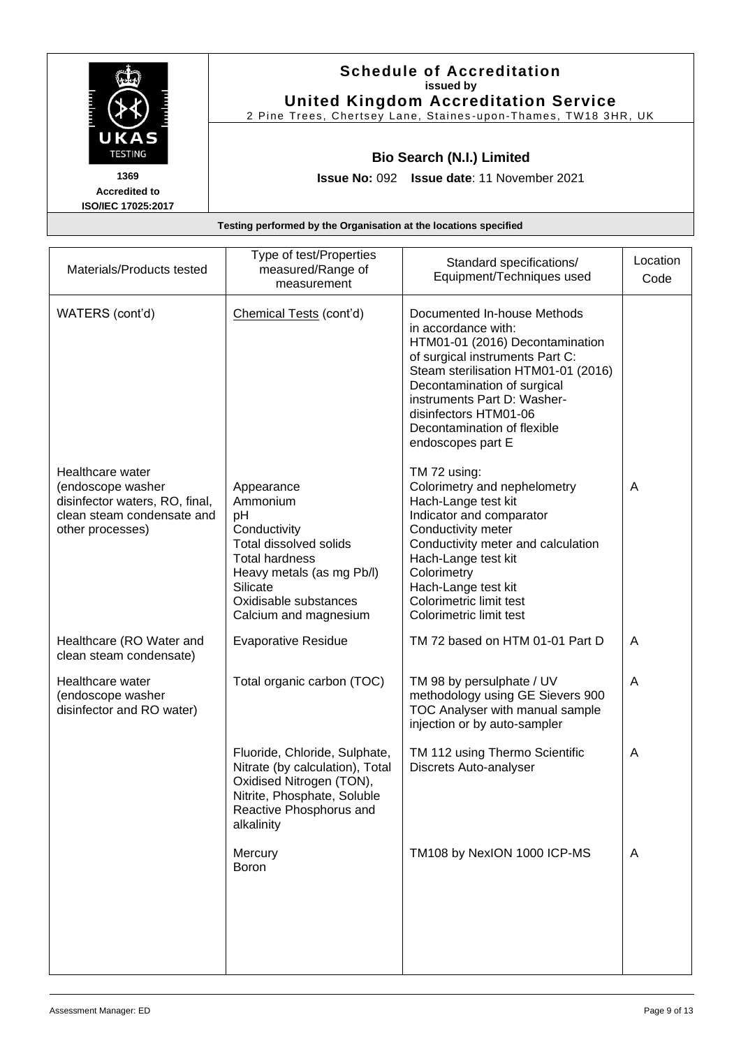|                                                    | <b>Schedule of Accreditation</b><br>issued by<br><b>United Kingdom Accreditation Service</b><br>2 Pine Trees, Chertsey Lane, Staines-upon-Thames, TW18 3HR, UK |
|----------------------------------------------------|----------------------------------------------------------------------------------------------------------------------------------------------------------------|
| UKAS<br><b>TESTING</b>                             | <b>Bio Search (N.I.) Limited</b>                                                                                                                               |
| 1369<br><b>Accredited to</b><br>ISO/IEC 17025:2017 | <b>Issue No: 092 Issue date: 11 November 2021</b>                                                                                                              |

| Materials/Products tested                                                                                                 | Type of test/Properties<br>measured/Range of<br>measurement                                                                                                                                       | Standard specifications/<br>Equipment/Techniques used                                                                                                                                                                                                                                                      | Location<br>Code |
|---------------------------------------------------------------------------------------------------------------------------|---------------------------------------------------------------------------------------------------------------------------------------------------------------------------------------------------|------------------------------------------------------------------------------------------------------------------------------------------------------------------------------------------------------------------------------------------------------------------------------------------------------------|------------------|
| WATERS (cont'd)                                                                                                           | Chemical Tests (cont'd)                                                                                                                                                                           | Documented In-house Methods<br>in accordance with:<br>HTM01-01 (2016) Decontamination<br>of surgical instruments Part C:<br>Steam sterilisation HTM01-01 (2016)<br>Decontamination of surgical<br>instruments Part D: Washer-<br>disinfectors HTM01-06<br>Decontamination of flexible<br>endoscopes part E |                  |
| Healthcare water<br>(endoscope washer<br>disinfector waters, RO, final,<br>clean steam condensate and<br>other processes) | Appearance<br>Ammonium<br>pH<br>Conductivity<br><b>Total dissolved solids</b><br><b>Total hardness</b><br>Heavy metals (as mg Pb/l)<br>Silicate<br>Oxidisable substances<br>Calcium and magnesium | TM 72 using:<br>Colorimetry and nephelometry<br>Hach-Lange test kit<br>Indicator and comparator<br>Conductivity meter<br>Conductivity meter and calculation<br>Hach-Lange test kit<br>Colorimetry<br>Hach-Lange test kit<br>Colorimetric limit test<br>Colorimetric limit test                             | A                |
| Healthcare (RO Water and<br>clean steam condensate)                                                                       | <b>Evaporative Residue</b>                                                                                                                                                                        | TM 72 based on HTM 01-01 Part D                                                                                                                                                                                                                                                                            | A                |
| Healthcare water<br>(endoscope washer<br>disinfector and RO water)                                                        | Total organic carbon (TOC)                                                                                                                                                                        | TM 98 by persulphate / UV<br>methodology using GE Sievers 900<br>TOC Analyser with manual sample<br>injection or by auto-sampler                                                                                                                                                                           | A                |
|                                                                                                                           | Fluoride, Chloride, Sulphate,<br>Nitrate (by calculation), Total<br>Oxidised Nitrogen (TON),<br>Nitrite, Phosphate, Soluble<br>Reactive Phosphorus and<br>alkalinity                              | TM 112 using Thermo Scientific<br>Discrets Auto-analyser                                                                                                                                                                                                                                                   | A                |
|                                                                                                                           | Mercury<br>Boron                                                                                                                                                                                  | TM108 by NexION 1000 ICP-MS                                                                                                                                                                                                                                                                                | $\overline{A}$   |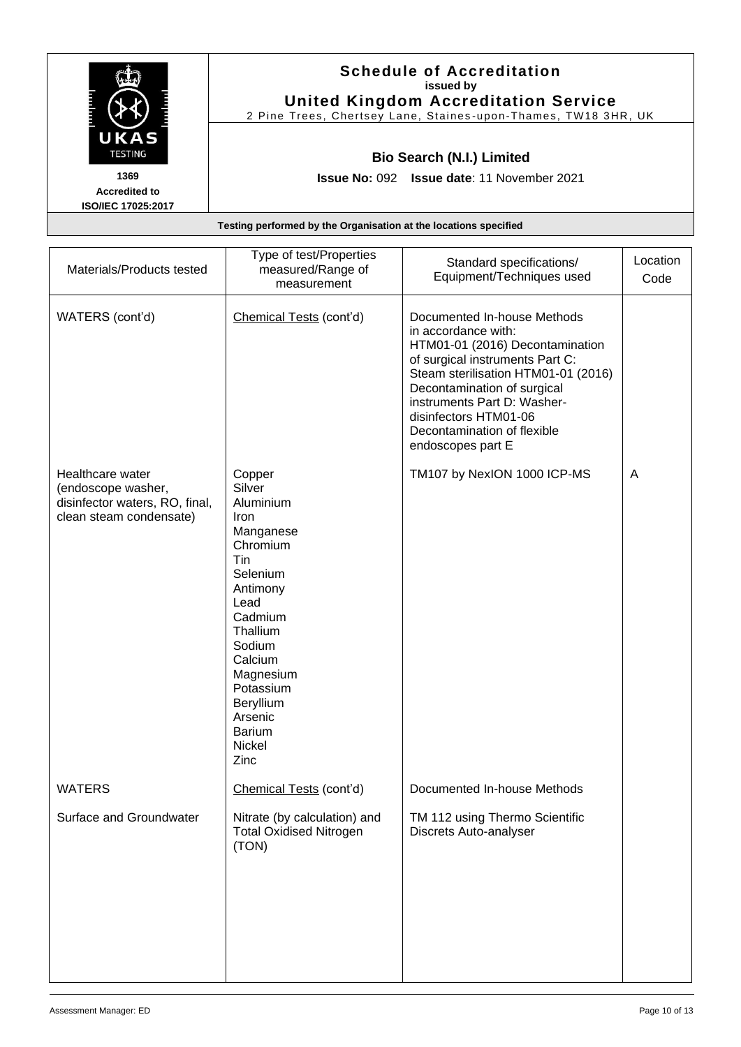| UKAS<br><b>TESTING</b>                                    | <b>Schedule of Accreditation</b><br>issued by<br><b>United Kingdom Accreditation Service</b><br>2 Pine Trees, Chertsey Lane, Staines-upon-Thames, TW18 3HR, UK |  |
|-----------------------------------------------------------|----------------------------------------------------------------------------------------------------------------------------------------------------------------|--|
|                                                           | <b>Bio Search (N.I.) Limited</b>                                                                                                                               |  |
| 1369<br><b>Accredited to</b><br><b>ISO/IEC 17025:2017</b> | <b>Issue No: 092 Issue date: 11 November 2021</b>                                                                                                              |  |
|                                                           | Testing performed by the Organisation at the locations specified                                                                                               |  |

| Materials/Products tested                                                                           | Type of test/Properties<br>measured/Range of<br>measurement                                                                                                                                                                            | Standard specifications/<br>Equipment/Techniques used                                                                                                                                                                                                                                                      | Location<br>Code |
|-----------------------------------------------------------------------------------------------------|----------------------------------------------------------------------------------------------------------------------------------------------------------------------------------------------------------------------------------------|------------------------------------------------------------------------------------------------------------------------------------------------------------------------------------------------------------------------------------------------------------------------------------------------------------|------------------|
| WATERS (cont'd)                                                                                     | Chemical Tests (cont'd)                                                                                                                                                                                                                | Documented In-house Methods<br>in accordance with:<br>HTM01-01 (2016) Decontamination<br>of surgical instruments Part C:<br>Steam sterilisation HTM01-01 (2016)<br>Decontamination of surgical<br>instruments Part D: Washer-<br>disinfectors HTM01-06<br>Decontamination of flexible<br>endoscopes part E |                  |
| Healthcare water<br>(endoscope washer,<br>disinfector waters, RO, final,<br>clean steam condensate) | Copper<br>Silver<br>Aluminium<br>Iron<br>Manganese<br>Chromium<br>Tin<br>Selenium<br>Antimony<br>Lead<br>Cadmium<br>Thallium<br>Sodium<br>Calcium<br>Magnesium<br>Potassium<br>Beryllium<br>Arsenic<br><b>Barium</b><br>Nickel<br>Zinc | TM107 by NexION 1000 ICP-MS                                                                                                                                                                                                                                                                                | A                |
| <b>WATERS</b>                                                                                       | Chemical Tests (cont'd)                                                                                                                                                                                                                | Documented In-house Methods                                                                                                                                                                                                                                                                                |                  |
| Surface and Groundwater                                                                             | Nitrate (by calculation) and<br><b>Total Oxidised Nitrogen</b><br>(TON)                                                                                                                                                                | TM 112 using Thermo Scientific<br>Discrets Auto-analyser                                                                                                                                                                                                                                                   |                  |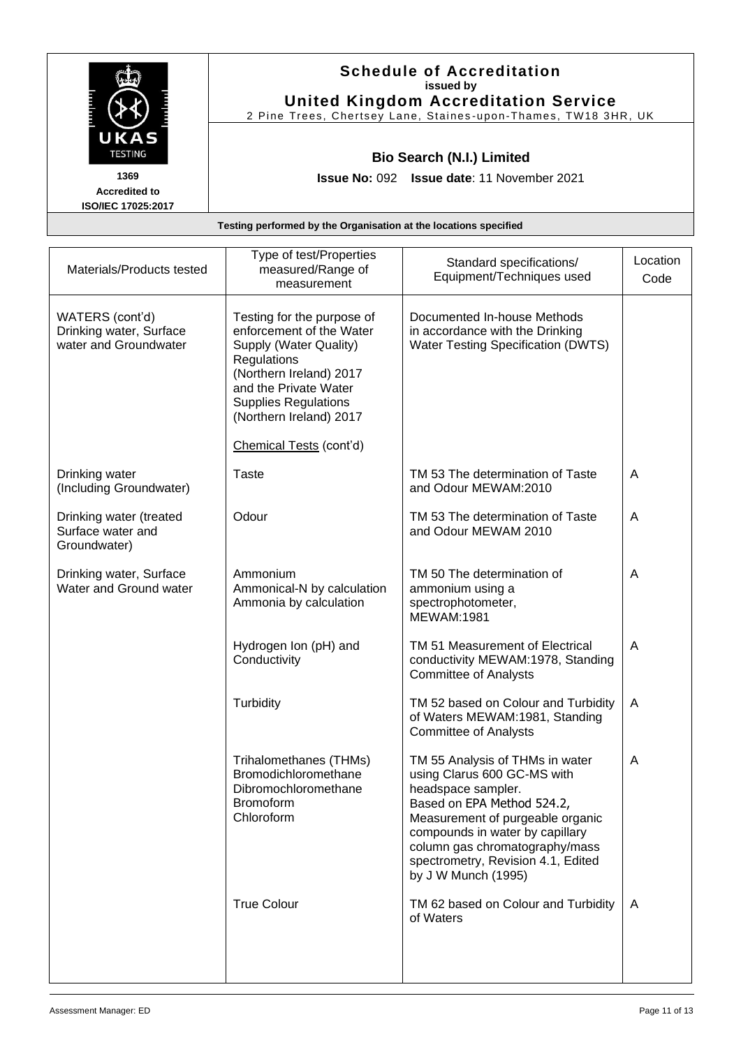|                        | <b>Schedule of Accreditation</b><br>issued by                    |
|------------------------|------------------------------------------------------------------|
|                        | <b>United Kingdom Accreditation Service</b>                      |
|                        | 2 Pine Trees, Chertsey Lane, Staines-upon-Thames, TW18 3HR, UK   |
| UKAS<br><b>TESTING</b> | <b>Bio Search (N.I.) Limited</b>                                 |
| 1369                   | <b>Issue No: 092 Issue date: 11 November 2021</b>                |
| <b>Accredited to</b>   |                                                                  |
| ISO/IEC 17025:2017     |                                                                  |
|                        | Testing performed by the Organisation at the locations specified |
|                        |                                                                  |

| Materials/Products tested                                           | Type of test/Properties<br>measured/Range of<br>measurement                                                                                                                                                   | Standard specifications/<br>Equipment/Techniques used                                                                                                                                                                                                                                    | Location<br>Code |
|---------------------------------------------------------------------|---------------------------------------------------------------------------------------------------------------------------------------------------------------------------------------------------------------|------------------------------------------------------------------------------------------------------------------------------------------------------------------------------------------------------------------------------------------------------------------------------------------|------------------|
| WATERS (cont'd)<br>Drinking water, Surface<br>water and Groundwater | Testing for the purpose of<br>enforcement of the Water<br>Supply (Water Quality)<br>Regulations<br>(Northern Ireland) 2017<br>and the Private Water<br><b>Supplies Regulations</b><br>(Northern Ireland) 2017 | Documented In-house Methods<br>in accordance with the Drinking<br>Water Testing Specification (DWTS)                                                                                                                                                                                     |                  |
|                                                                     | Chemical Tests (cont'd)                                                                                                                                                                                       |                                                                                                                                                                                                                                                                                          |                  |
| Drinking water<br>(Including Groundwater)                           | Taste                                                                                                                                                                                                         | TM 53 The determination of Taste<br>and Odour MEWAM:2010                                                                                                                                                                                                                                 | A                |
| Drinking water (treated<br>Surface water and<br>Groundwater)        | Odour                                                                                                                                                                                                         | TM 53 The determination of Taste<br>and Odour MEWAM 2010                                                                                                                                                                                                                                 | A                |
| Drinking water, Surface<br>Water and Ground water                   | Ammonium<br>Ammonical-N by calculation<br>Ammonia by calculation                                                                                                                                              | TM 50 The determination of<br>ammonium using a<br>spectrophotometer,<br><b>MEWAM:1981</b>                                                                                                                                                                                                | $\overline{A}$   |
|                                                                     | Hydrogen Ion (pH) and<br>Conductivity                                                                                                                                                                         | TM 51 Measurement of Electrical<br>conductivity MEWAM:1978, Standing<br><b>Committee of Analysts</b>                                                                                                                                                                                     | A                |
|                                                                     | Turbidity                                                                                                                                                                                                     | TM 52 based on Colour and Turbidity<br>of Waters MEWAM:1981, Standing<br><b>Committee of Analysts</b>                                                                                                                                                                                    | A                |
|                                                                     | Trihalomethanes (THMs)<br>Bromodichloromethane<br>Dibromochloromethane<br><b>Bromoform</b><br>Chloroform                                                                                                      | TM 55 Analysis of THMs in water<br>using Clarus 600 GC-MS with<br>headspace sampler.<br>Based on EPA Method 524.2,<br>Measurement of purgeable organic<br>compounds in water by capillary<br>column gas chromatography/mass<br>spectrometry, Revision 4.1, Edited<br>by J W Munch (1995) | A                |
|                                                                     | <b>True Colour</b>                                                                                                                                                                                            | TM 62 based on Colour and Turbidity<br>of Waters                                                                                                                                                                                                                                         | A                |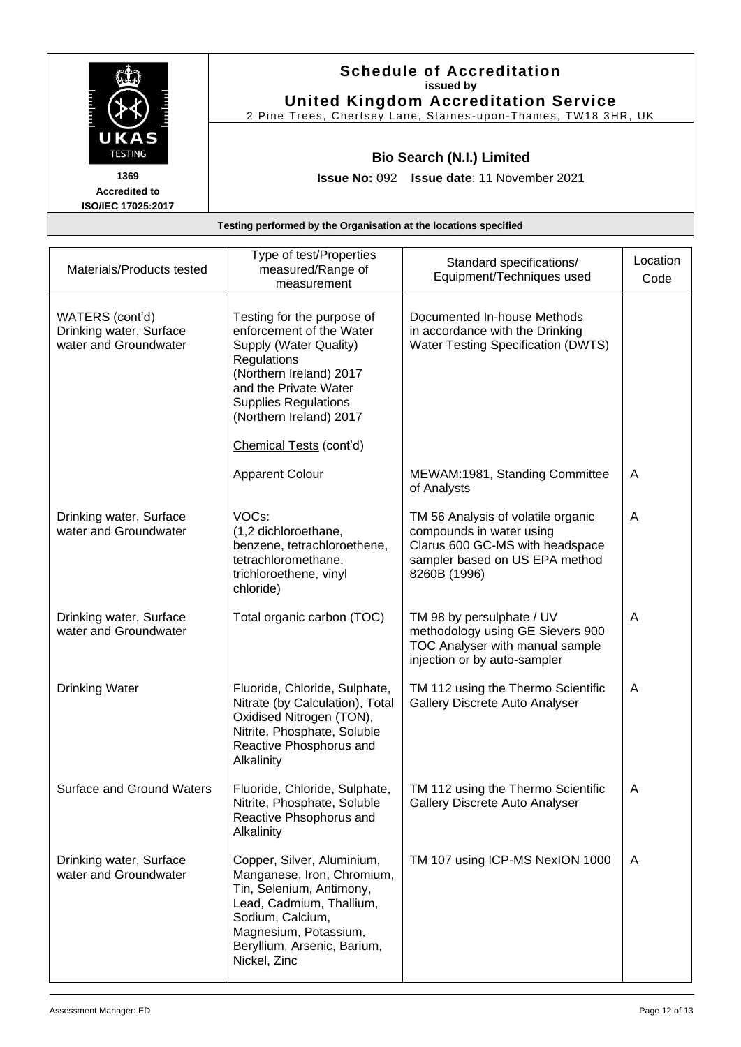|                                                                  | <b>Schedule of Accreditation</b><br>issued by<br><b>United Kingdom Accreditation Service</b>       |  |
|------------------------------------------------------------------|----------------------------------------------------------------------------------------------------|--|
| UKAS<br><b>TESTING</b>                                           | 2 Pine Trees, Chertsey Lane, Staines-upon-Thames, TW18 3HR, UK<br><b>Bio Search (N.I.) Limited</b> |  |
| 1369<br><b>Accredited to</b><br>ISO/IEC 17025:2017               | <b>Issue No: 092 Issue date: 11 November 2021</b>                                                  |  |
| Testing performed by the Organisation at the locations specified |                                                                                                    |  |

| Materials/Products tested                                           | Type of test/Properties<br>measured/Range of<br>measurement                                                                                                                                                                              | Standard specifications/<br>Equipment/Techniques used                                                                                               | Location<br>Code |
|---------------------------------------------------------------------|------------------------------------------------------------------------------------------------------------------------------------------------------------------------------------------------------------------------------------------|-----------------------------------------------------------------------------------------------------------------------------------------------------|------------------|
| WATERS (cont'd)<br>Drinking water, Surface<br>water and Groundwater | Testing for the purpose of<br>enforcement of the Water<br>Supply (Water Quality)<br>Regulations<br>(Northern Ireland) 2017<br>and the Private Water<br><b>Supplies Regulations</b><br>(Northern Ireland) 2017<br>Chemical Tests (cont'd) | Documented In-house Methods<br>in accordance with the Drinking<br>Water Testing Specification (DWTS)                                                |                  |
|                                                                     | <b>Apparent Colour</b>                                                                                                                                                                                                                   | MEWAM:1981, Standing Committee<br>of Analysts                                                                                                       | A                |
| Drinking water, Surface<br>water and Groundwater                    | VOCs:<br>(1,2 dichloroethane,<br>benzene, tetrachloroethene,<br>tetrachloromethane,<br>trichloroethene, vinyl<br>chloride)                                                                                                               | TM 56 Analysis of volatile organic<br>compounds in water using<br>Clarus 600 GC-MS with headspace<br>sampler based on US EPA method<br>8260B (1996) | A                |
| Drinking water, Surface<br>water and Groundwater                    | Total organic carbon (TOC)                                                                                                                                                                                                               | TM 98 by persulphate / UV<br>methodology using GE Sievers 900<br>TOC Analyser with manual sample<br>injection or by auto-sampler                    | A                |
| <b>Drinking Water</b>                                               | Fluoride, Chloride, Sulphate,<br>Nitrate (by Calculation), Total<br>Oxidised Nitrogen (TON),<br>Nitrite, Phosphate, Soluble<br>Reactive Phosphorus and<br>Alkalinity                                                                     | TM 112 using the Thermo Scientific<br>Gallery Discrete Auto Analyser                                                                                | A                |
| <b>Surface and Ground Waters</b>                                    | Fluoride, Chloride, Sulphate,<br>Nitrite, Phosphate, Soluble<br>Reactive Phsophorus and<br>Alkalinity                                                                                                                                    | TM 112 using the Thermo Scientific<br>Gallery Discrete Auto Analyser                                                                                | A                |
| Drinking water, Surface<br>water and Groundwater                    | Copper, Silver, Aluminium,<br>Manganese, Iron, Chromium,<br>Tin, Selenium, Antimony,<br>Lead, Cadmium, Thallium,<br>Sodium, Calcium,<br>Magnesium, Potassium,<br>Beryllium, Arsenic, Barium,<br>Nickel, Zinc                             | TM 107 using ICP-MS NexION 1000                                                                                                                     | A                |